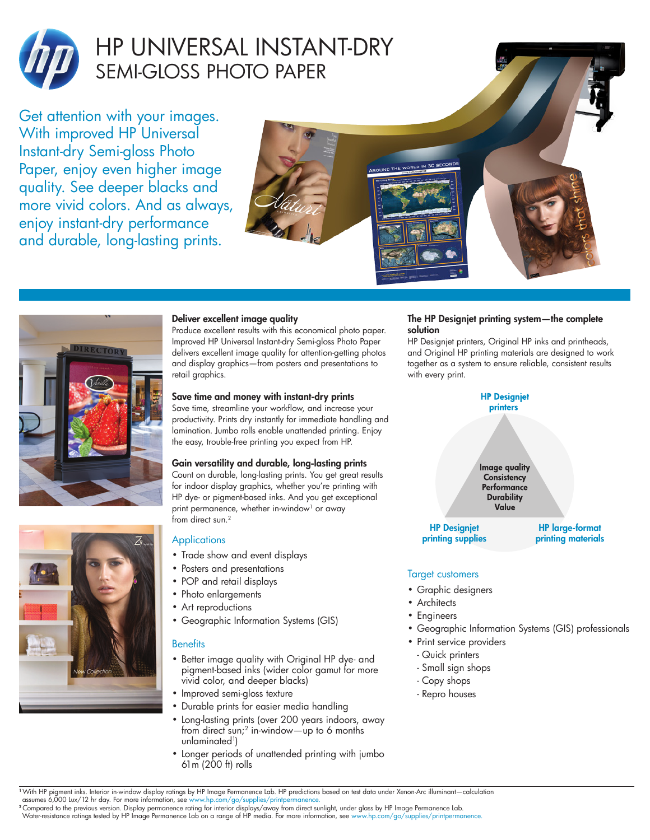

# HP UNIVERSAL INSTANT-DRY SEMI-GLOSS PHOTO PAPER

Get attention with your images. With improved HP Universal Instant-dry Semi-gloss Photo Paper, enjoy even higher image quality. See deeper blacks and more vivid colors. And as always, enjoy instant-dry performance and durable, long-lasting prints.







## Deliver excellent image quality

Produce excellent results with this economical photo paper. Improved HP Universal Instant-dry Semi-gloss Photo Paper delivers excellent image quality for attention-getting photos and display graphics—from posters and presentations to retail graphics.

#### Save time and money with instant-dry prints

Save time, streamline your workflow, and increase your productivity. Prints dry instantly for immediate handling and lamination. Jumbo rolls enable unattended printing. Enjoy the easy, trouble-free printing you expect from HP.

## Gain versatility and durable, long-lasting prints

Count on durable, long-lasting prints. You get great results for indoor display graphics, whether you're printing with HP dye- or pigment-based inks. And you get exceptional print permanence, whether in-window<sup>1</sup> or away from direct sun.<sup>2</sup>

## **Applications**

- Trade show and event displays
- Posters and presentations
- POP and retail displays
- Photo enlargements
- Art reproductions
- Geographic Information Systems (GIS)

#### **Benefits**

- Better image quality with Original HP dye- and pigment-based inks (wider color gamut for more vivid color, and deeper blacks)
- Improved semi-gloss texture
- Durable prints for easier media handling
- Long-lasting prints (over 200 years indoors, away from direct sun;<sup>2</sup> in-window—up to 6 months unlaminated1)
- Longer periods of unattended printing with jumbo 61m (200 ft) rolls

### The HP Designjet printing system—the complete solution

HP Designjet printers, Original HP inks and printheads, and Original HP printing materials are designed to work together as a system to ensure reliable, consistent results with every print.



## Target customers

- Graphic designers
- Architects
- Engineers
- Geographic Information Systems (GIS) professionals
- Print service providers - Quick printers
	- Small sign shops
	- Copy shops
	- Repro houses

<sup>1</sup>With HP pigment inks. Interior in-window display ratings by HP Image Permanence Lab. HP predictions based on test data under Xenon-Arc illuminant—calculation

assumes 6,000 Lux/12 hr day. For more information, see www.hp.com/go/supplies/printpermanence.<br><sup>2</sup>Compared to the previous version. Display permanence rating for interior displays/away from direct sunlight, under glass by